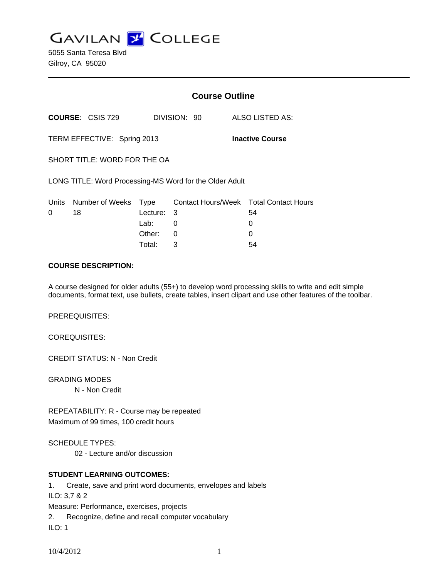**GAVILAN J' COLLEGE** 

5055 Santa Teresa Blvd Gilroy, CA 95020

|                                                         |                         | <b>Course Outline</b> |                           |  |                            |
|---------------------------------------------------------|-------------------------|-----------------------|---------------------------|--|----------------------------|
|                                                         | <b>COURSE: CSIS 729</b> |                       | DIVISION: 90              |  | ALSO LISTED AS:            |
| TERM EFFECTIVE: Spring 2013<br><b>Inactive Course</b>   |                         |                       |                           |  |                            |
| SHORT TITLE: WORD FOR THE OA                            |                         |                       |                           |  |                            |
| LONG TITLE: Word Processing-MS Word for the Older Adult |                         |                       |                           |  |                            |
| <u>Units</u>                                            | Number of Weeks         | Type                  | <b>Contact Hours/Week</b> |  | <b>Total Contact Hours</b> |
| 0                                                       | 18                      | Lecture:              | 3                         |  | 54                         |
|                                                         |                         | Lab:                  | 0                         |  | 0                          |
|                                                         |                         | Other:                | 0                         |  | 0                          |
|                                                         |                         | Total:                | 3                         |  | 54                         |

#### **COURSE DESCRIPTION:**

A course designed for older adults (55+) to develop word processing skills to write and edit simple documents, format text, use bullets, create tables, insert clipart and use other features of the toolbar.

PREREQUISITES:

COREQUISITES:

CREDIT STATUS: N - Non Credit

GRADING MODES N - Non Credit

REPEATABILITY: R - Course may be repeated Maximum of 99 times, 100 credit hours

SCHEDULE TYPES:

02 - Lecture and/or discussion

# **STUDENT LEARNING OUTCOMES:**

1. Create, save and print word documents, envelopes and labels ILO: 3,7 & 2 Measure: Performance, exercises, projects 2. Recognize, define and recall computer vocabulary ILO: 1

10/4/2012 1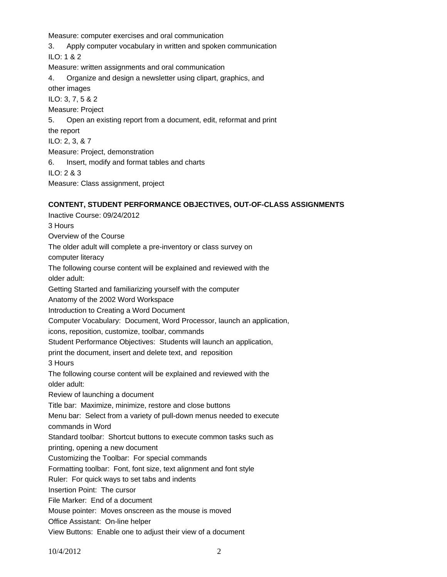Measure: computer exercises and oral communication

3. Apply computer vocabulary in written and spoken communication

ILO: 1 & 2

Measure: written assignments and oral communication

4. Organize and design a newsletter using clipart, graphics, and

other images

ILO: 3, 7, 5 & 2

Measure: Project

5. Open an existing report from a document, edit, reformat and print

the report

ILO: 2, 3, & 7

Measure: Project, demonstration

6. Insert, modify and format tables and charts

ILO: 2 & 3

Measure: Class assignment, project

# **CONTENT, STUDENT PERFORMANCE OBJECTIVES, OUT-OF-CLASS ASSIGNMENTS**

Inactive Course: 09/24/2012 3 Hours Overview of the Course The older adult will complete a pre-inventory or class survey on computer literacy The following course content will be explained and reviewed with the older adult: Getting Started and familiarizing yourself with the computer Anatomy of the 2002 Word Workspace Introduction to Creating a Word Document Computer Vocabulary: Document, Word Processor, launch an application, icons, reposition, customize, toolbar, commands Student Performance Objectives: Students will launch an application, print the document, insert and delete text, and reposition 3 Hours The following course content will be explained and reviewed with the older adult: Review of launching a document Title bar: Maximize, minimize, restore and close buttons Menu bar: Select from a variety of pull-down menus needed to execute commands in Word Standard toolbar: Shortcut buttons to execute common tasks such as printing, opening a new document Customizing the Toolbar: For special commands Formatting toolbar: Font, font size, text alignment and font style Ruler: For quick ways to set tabs and indents Insertion Point: The cursor File Marker: End of a document Mouse pointer: Moves onscreen as the mouse is moved Office Assistant: On-line helper View Buttons: Enable one to adjust their view of a document

10/4/2012 2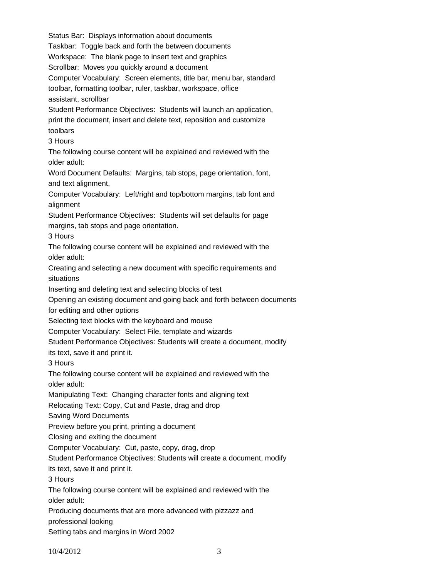Status Bar: Displays information about documents Taskbar: Toggle back and forth the between documents Workspace: The blank page to insert text and graphics Scrollbar: Moves you quickly around a document Computer Vocabulary: Screen elements, title bar, menu bar, standard toolbar, formatting toolbar, ruler, taskbar, workspace, office assistant, scrollbar Student Performance Objectives: Students will launch an application, print the document, insert and delete text, reposition and customize toolbars 3 Hours The following course content will be explained and reviewed with the older adult: Word Document Defaults: Margins, tab stops, page orientation, font, and text alignment, Computer Vocabulary: Left/right and top/bottom margins, tab font and alignment Student Performance Objectives: Students will set defaults for page margins, tab stops and page orientation. 3 Hours The following course content will be explained and reviewed with the older adult: Creating and selecting a new document with specific requirements and situations Inserting and deleting text and selecting blocks of test Opening an existing document and going back and forth between documents for editing and other options Selecting text blocks with the keyboard and mouse Computer Vocabulary: Select File, template and wizards Student Performance Objectives: Students will create a document, modify its text, save it and print it. 3 Hours The following course content will be explained and reviewed with the older adult: Manipulating Text: Changing character fonts and aligning text Relocating Text: Copy, Cut and Paste, drag and drop Saving Word Documents Preview before you print, printing a document Closing and exiting the document Computer Vocabulary: Cut, paste, copy, drag, drop Student Performance Objectives: Students will create a document, modify its text, save it and print it. 3 Hours The following course content will be explained and reviewed with the older adult: Producing documents that are more advanced with pizzazz and professional looking Setting tabs and margins in Word 2002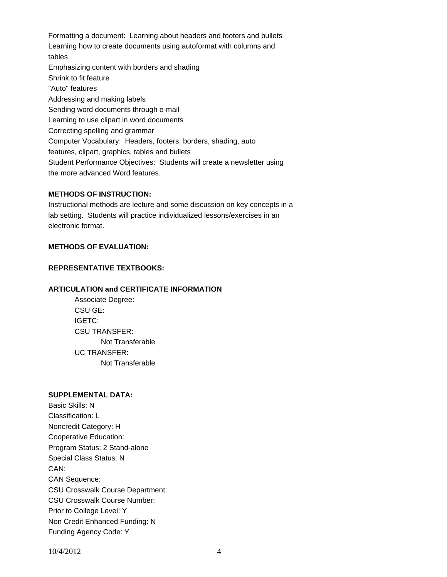Formatting a document: Learning about headers and footers and bullets Learning how to create documents using autoformat with columns and tables Emphasizing content with borders and shading Shrink to fit feature "Auto" features Addressing and making labels Sending word documents through e-mail Learning to use clipart in word documents Correcting spelling and grammar Computer Vocabulary: Headers, footers, borders, shading, auto features, clipart, graphics, tables and bullets Student Performance Objectives: Students will create a newsletter using the more advanced Word features.

### **METHODS OF INSTRUCTION:**

Instructional methods are lecture and some discussion on key concepts in a lab setting. Students will practice individualized lessons/exercises in an electronic format.

# **METHODS OF EVALUATION:**

#### **REPRESENTATIVE TEXTBOOKS:**

### **ARTICULATION and CERTIFICATE INFORMATION**

 Not Transferable UC TRANSFER: Not Transferable Associate Degree: CSU GE: IGETC: CSU TRANSFER:

#### **SUPPLEMENTAL DATA:**

Basic Skills: N Classification: L Noncredit Category: H Cooperative Education: Program Status: 2 Stand-alone Special Class Status: N CAN: CAN Sequence: CSU Crosswalk Course Department: CSU Crosswalk Course Number: Prior to College Level: Y Non Credit Enhanced Funding: N Funding Agency Code: Y